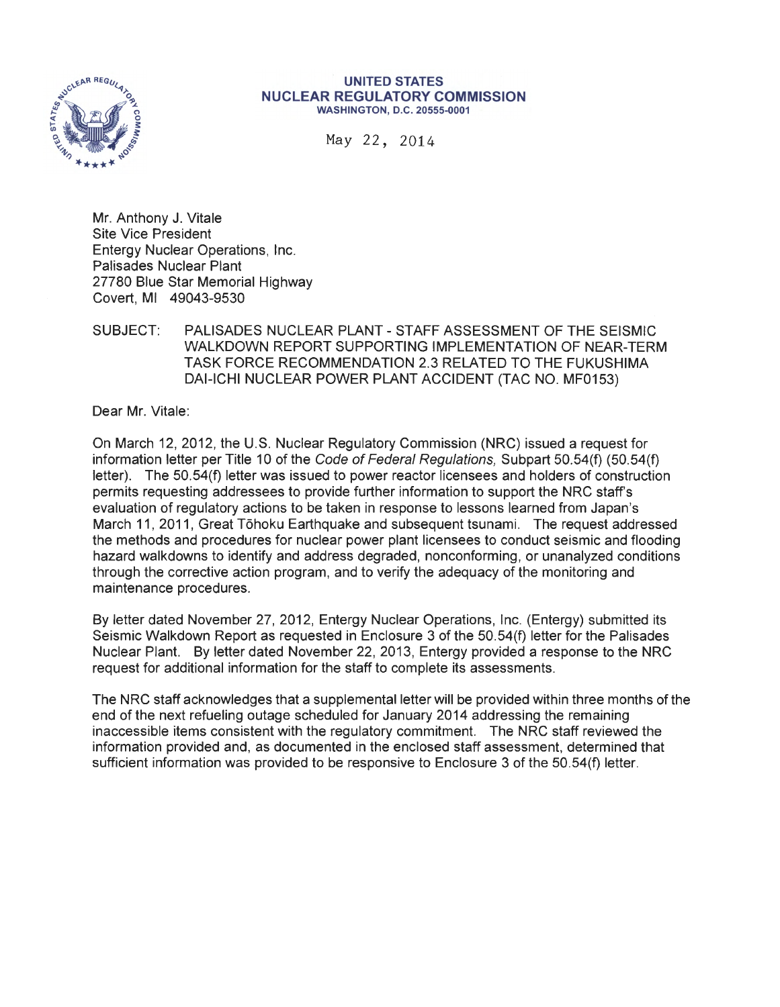

#### **UNITED STATES NUCLEAR REGULATORY COMMISSION**  WASHINGTON, D.C. 20555-0001

May 22, 2014

Mr. Anthony J. Vitale Site Vice President Entergy Nuclear Operations, Inc. Palisades Nuclear Plant 27780 Blue Star Memorial Highway Covert, Ml 49043-9530

#### SUBJECT: PALISADES NUCLEAR PLANT - STAFF ASSESSMENT OF THE SEISMIC WALKDOWN REPORT SUPPORTING IMPLEMENTATION OF NEAR-TERM TASK FORCE RECOMMENDATION 2.3 RELATED TO THE FUKUSHIMA DAI-ICHI NUCLEAR POWER PLANT ACCIDENT (TAC NO. MF0153)

Dear Mr. Vitale:

On March 12, 2012, the U.S. Nuclear Regulatory Commission (NRC) issued a request for information letter per Title 10 of the Code of Federal Regulations, Subpart 50.54(f) (50.54(f) letter). The 50.54(f) letter was issued to power reactor licensees and holders of construction permits requesting addressees to provide further information to support the NRC staff's evaluation of regulatory actions to be taken in response to lessons learned from Japan's March 11, 2011, Great Tōhoku Earthquake and subsequent tsunami. The request addressed the methods and procedures for nuclear power plant licensees to conduct seismic and flooding hazard walkdowns to identify and address degraded, nonconforming, or unanalyzed conditions through the corrective action program, and to verify the adequacy of the monitoring and maintenance procedures.

By letter dated November 27, 2012, Entergy Nuclear Operations, Inc. (Entergy) submitted its Seismic Walkdown Report as requested in Enclosure 3 of the 50.54(f) letter for the Palisades Nuclear Plant. By letter dated November 22, 2013, Entergy provided a response to the NRC request for additional information for the staff to complete its assessments.

The NRC staff acknowledges that a supplemental letter will be provided within three months of the end of the next refueling outage scheduled for January 2014 addressing the remaining inaccessible items consistent with the regulatory commitment. The NRC staff reviewed the information provided and, as documented in the enclosed staff assessment, determined that sufficient information was provided to be responsive to Enclosure 3 of the 50.54(f) letter.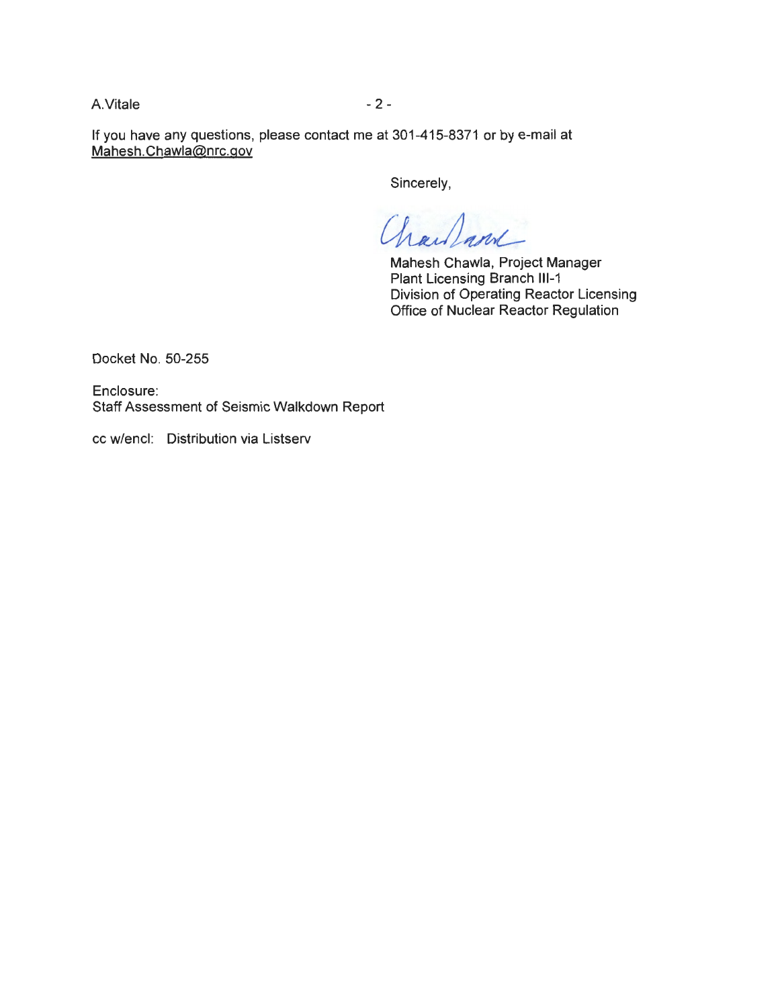A. Vitale - 2 -

If you have any questions, please contact me at 301-415-8371 or by e-mail at Mahesh. Chawla@nrc.gov

Sincerely,

harland

Mahesh Chawla, Project Manager Plant Licensing Branch **111-1**  Division of Operating Reactor Licensing Office of Nuclear Reactor Regulation

Docket No. 50-255

Enclosure: Staff Assessment of Seismic Walkdown Report

cc w/encl: Distribution via Listserv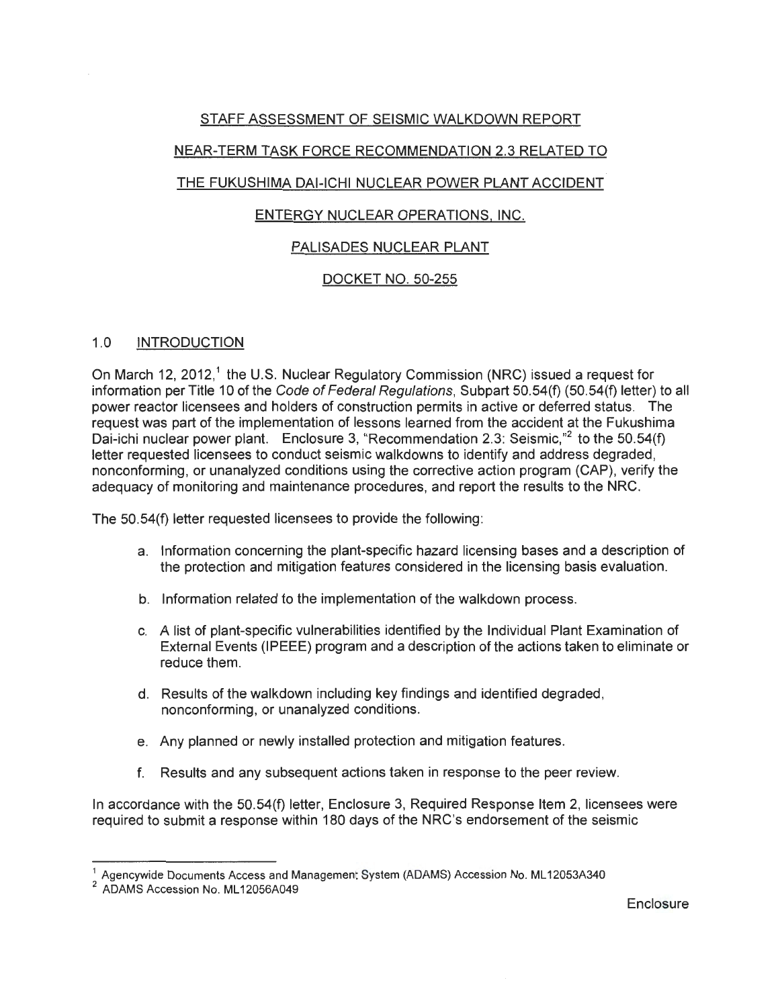# STAFF ASSESSMENT OF SEISMIC WALKDOWN REPORT

# NEAR-TERM TASK FORCE RECOMMENDATION 2.3 RELATED TO

# THE FUKUSHIMA DAI-ICHI NUCLEAR POWER PLANT ACCIDENT

## ENTERGY NUCLEAR OPERATIONS. INC.

## PALISADES NUCLEAR PLANT

## DOCKET NO. 50-255

#### 1.0 INTRODUCTION

On March 12, 2012,<sup>1</sup> the U.S. Nuclear Regulatory Commission (NRC) issued a request for information per Title 10 of the Code of Federal Regulations, Subpart 50.54(f) (50.54(f) letter) to all power reactor licensees and holders of construction permits in active or deferred status. The request was part of the implementation of lessons learned from the accident at the Fukushima Dai-ichi nuclear power plant. Enclosure 3, "Recommendation 2.3: Seismic,"<sup>2</sup> to the 50.54(f) letter requested licensees to conduct seismic walkdowns to identify and address degraded, nonconforming, or unanalyzed conditions using the corrective action program (CAP), verify the adequacy of monitoring and maintenance procedures, and report the results to the NRC.

The 50.54(f) letter requested licensees to provide the following:

- a. Information concerning the plant-specific hazard licensing bases and a description of the protection and mitigation features considered in the licensing basis evaluation.
- b. Information related to the implementation of the walkdown process.
- c. A list of plant-specific vulnerabilities identified by the Individual Plant Examination of External Events (IPEEE) program and a description of the actions taken to eliminate or reduce them.
- d. Results of the walkdown including key findings and identified degraded, nonconforming, or unanalyzed conditions.
- e. Any planned or newly installed protection and mitigation features.
- f. Results and any subsequent actions taken in response to the peer review.

In accordance with the 50.54(f) letter, Enclosure 3, Required Response Item 2, licensees were required to submit a response within 180 days of the NRC's endorsement of the seismic

Agencywide Documents Access and Managemen System (AD/AMS) Accession No. ML12053A340

<sup>&</sup>lt;sup>2</sup> ADAMS Accession No. ML12056A049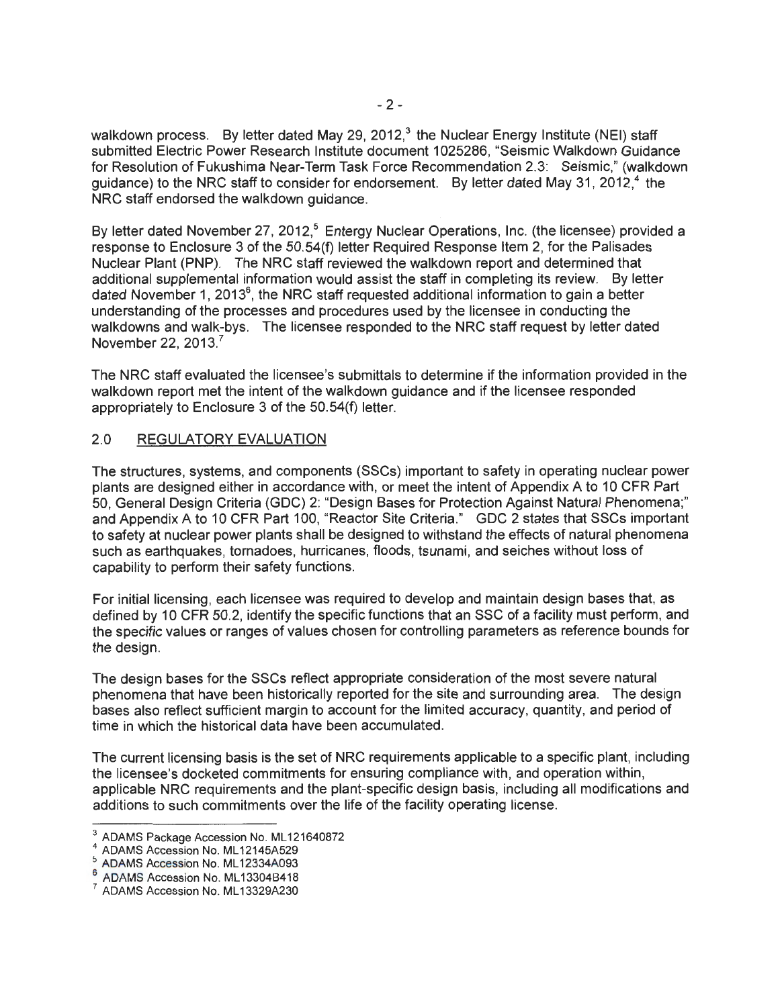walkdown process. By letter dated May 29, 2012,<sup>3</sup> the Nuclear Energy Institute (NEI) staff submitted Electric Power Research Institute document 1025286, "Seismic Walkdown Guidance for Resolution of Fukushima Near-Term Task Force Recommendation 2.3: Seismic," (walkdown guidance) to the NRC staff to consider for endorsement. By letter dated May 31, 2012, $4$  the NRC staff endorsed the walkdown guidance.

By letter dated November 27, 2012,<sup>5</sup> Entergy Nuclear Operations, Inc. (the licensee) provided a response to Enclosure 3 of the 50.54(f) letter Required Response Item 2, for the Palisades Nuclear Plant (PNP). The NRC staff reviewed the walkdown report and determined that additional supplemental information would assist the staff in completing its review. By letter dated November 1, 2013<sup>6</sup>, the NRC staff requested additional information to gain a better understanding of the processes and procedures used by the licensee in conducting the walkdowns and walk-bys. The licensee responded to the NRC staff request by letter dated November 22, 2013.<sup>7</sup>

The NRC staff evaluated the licensee's submittals to determine if the information provided in the walkdown report met the intent of the walkdown guidance and if the licensee responded appropriately to Enclosure 3 of the 50.54(f) letter.

#### 2.0 REGULATORY EVALUATION

The structures, systems, and components (SSCs) important to safety in operating nuclear power plants are designed either in accordance with, or meet the intent of Appendix A to 10 CFR Part 50, General Design Criteria (GDC) 2: "Design Bases for Protection Against Natural Phenomena;" and Appendix A to 10 CFR Part 100, "Reactor Site Criteria." GDC 2 states that SSCs important to safety at nuclear power plants shall be designed to withstand the effects of natural phenomena such as earthquakes, tornadoes, hurricanes, floods, tsunami, and seiches without loss of capability to perform their safety functions.

For initial licensing, each licensee was required to develop and maintain design bases that, as defined by 10 CFR 50.2, identify the specific functions that an SSC of a facility must perform, and the specific values or ranges of values chosen for controlling parameters as reference bounds for the design.

The design bases for the SSCs reflect appropriate consideration of the most severe natural phenomena that have been historically reported for the site and surrounding area. The design bases also reflect sufficient margin to account for the limited accuracy, quantity, and period of time in which the historical data have been accumulated.

The current licensing basis is the set of NRC requirements applicable to a specific plant, including the licensee's docketed commitments for ensuring compliance with, and operation within, applicable NRC requirements and the plant-specific design basis, including all modifications and additions to such commitments over the life of the facility operating license.

<sup>&</sup>lt;sup>3</sup> ADAMS Package Accession No. ML121640872<br><sup>4</sup> ADAMS Accession No. ML12145A529<br><sup>5</sup> ADAMS Accession No. ML12334A093

 $6$  ADAMS Accession No. ML 13304B418<br>  $7$  ADAMS Accession No. ML 13329A230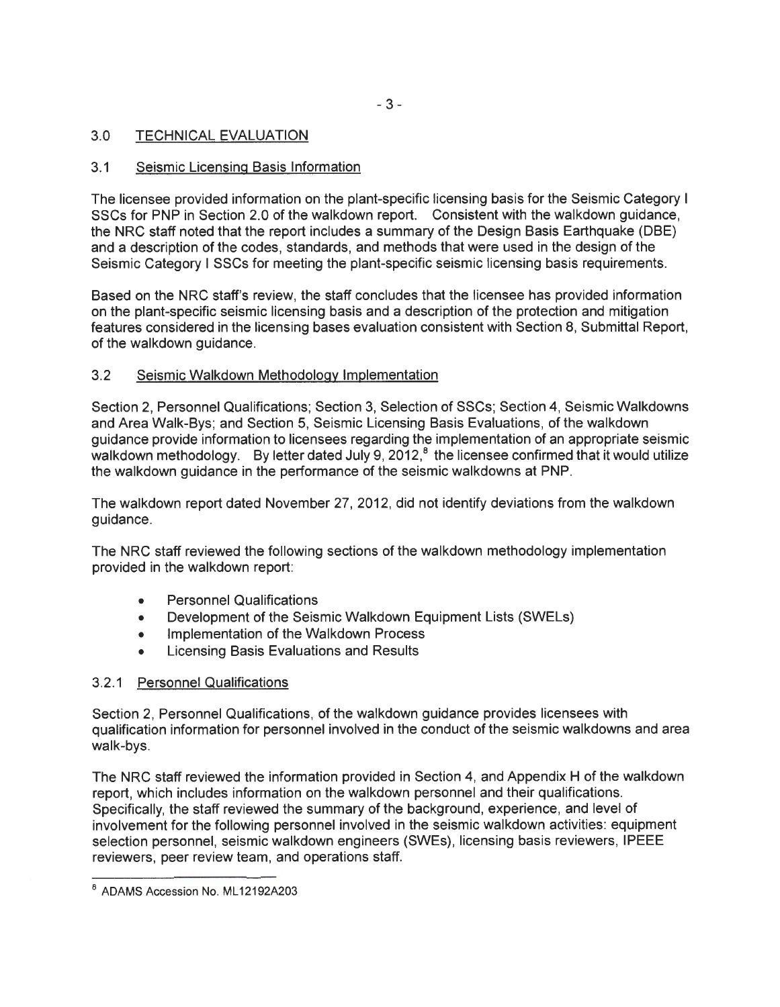- 3-

## 3.0 TECHNICAL EVALUATION

## 3.1 Seismic Licensing Basis Information

The licensee provided information on the plant-specific licensing basis for the Seismic Category I SSCs for PNP in Section 2.0 of the walkdown report. Consistent with the walkdown guidance, the NRC staff noted that the report includes a summary of the Design Basis Earthquake (DBE) and a description of the codes, standards, and methods that were used in the design of the Seismic Category I SSCs for meeting the plant-specific seismic licensing basis requirements.

Based on the NRC staff's review, the staff concludes that the licensee has provided information on the plant-specific seismic licensing basis and a description of the protection and mitigation features considered in the licensing bases evaluation consistent with Section 8, Submittal Report, of the walkdown guidance.

## 3.2 Seismic Walkdown Methodology Implementation

Section 2, Personnel Qualifications; Section 3, Selection of SSCs; Section 4, Seismic Walkdowns and Area Walk-Bys; and Section 5, Seismic Licensing Basis Evaluations, of the walkdown guidance provide information to licensees regarding the implementation of an appropriate seismic walkdown methodology. By letter dated July 9, 2012, $^8$  the licensee confirmed that it would utilize the walkdown guidance in the performance of the seismic walkdowns at PNP.

The walkdown report dated November 27, 2012, did not identify deviations from the walkdown guidance.

The NRC staff reviewed the following sections of the walkdown methodology implementation provided in the walkdown report:

- Personnel Qualifications
- Development of the Seismic Walkdown Equipment Lists (SWELs)
- Implementation of the Walkdown Process
- Licensing Basis Evaluations and Results

## 3.2.1 Personnel Qualifications

Section 2, Personnel Qualifications, of the walkdown guidance provides licensees with qualification information for personnel involved in the conduct of the seismic walkdowns and area walk-bys.

The NRC staff reviewed the information provided in Section 4, and Appendix H of the walkdown report, which includes information on the walkdown personnel and their qualifications. Specifically, the staff reviewed the summary of the background, experience, and level of involvement for the following personnel involved in the seismic walkdown activities: equipment selection personnel, seismic walkdown engineers (SWEs), licensing basis reviewers, IPEEE reviewers, peer review team, and operations staff.

<sup>&</sup>lt;sup>8</sup> ADAMS Accession No. ML12192A203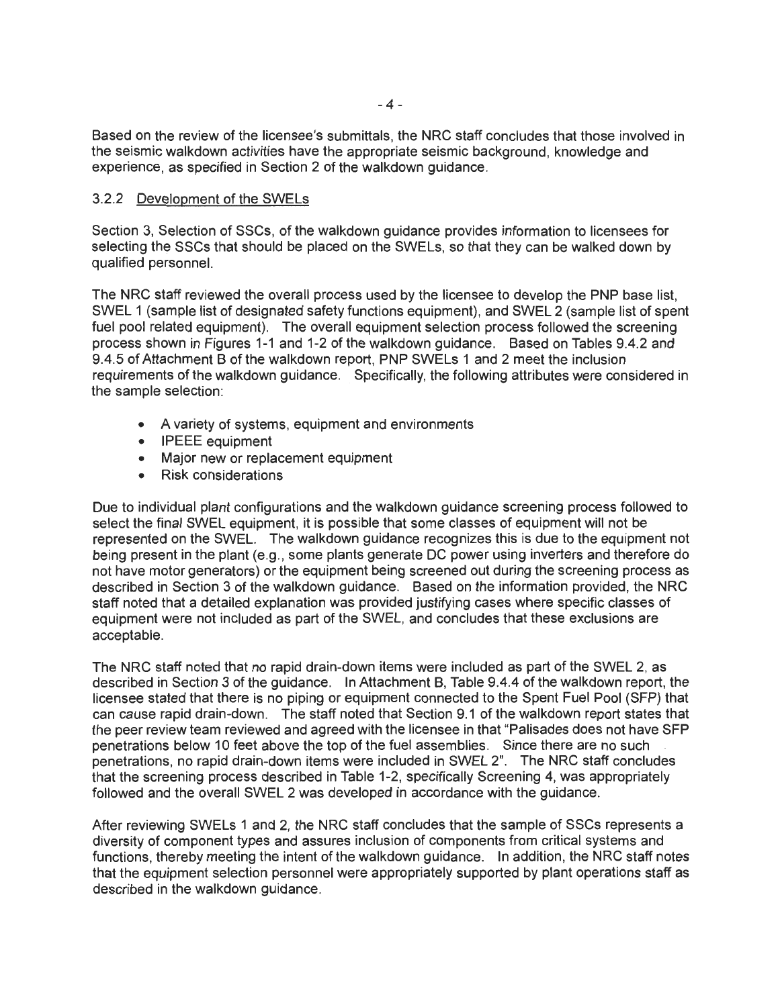Based on the review of the licensee's submittals, the NRC staff concludes that those involved in the seismic walkdown activities have the appropriate seismic background, knowledge and experience, as specified in Section 2 of the walkdown guidance.

#### 3.2.2 Development of the SWELs

Section 3, Selection of SSCs, of the walkdown guidance provides information to licensees for selecting the SSCs that should be placed on the SWELs, so that they can be walked down by qualified personnel.

The NRC staff reviewed the overall process used by the licensee to develop the PNP base list, SWEL 1 (sample list of designated safety functions equipment), and SWEL 2 (sample list of spent fuel pool related equipment). The overall equipment selection process followed the screening process shown in Figures 1-1 and 1-2 of the walkdown guidance. Based on Tables 9.4.2 and 9.4.5 of Attachment B of the walkdown report, PNP SWELs 1 and 2 meet the inclusion requirements of the walkdown guidance. Specifically, the following attributes were considered in the sample selection:

- A variety of systems, equipment and environments
- IPEEE equipment
- Major new or replacement equipment
- Risk considerations

Due to individual plant configurations and the walkdown guidance screening process followed to select the final SWEL equipment, it is possible that some classes of equipment will not be represented on the SWEL. The walkdown guidance recognizes this is due to the equipment not being present in the plant (e.g., some plants generate DC power using inverters and therefore do not have motor generators) or the equipment being screened out during the screening process as described in Section 3 of the walkdown guidance. Based on the information provided, the NRC staff noted that a detailed explanation was provided justifying cases where specific classes of equipment were not included as part of the SWEL, and concludes that these exclusions are acceptable.

The NRC staff noted that no rapid drain-down items were included as part of the SWEL 2, as described in Section 3 of the guidance. In Attachment B, Table 9.4.4 of the walkdown report, the licensee stated that there is no piping or equipment connected to the Spent Fuel Pool (SFP) that can cause rapid drain-down. The staff noted that Section 9.1 of the walkdown report states that the peer review team reviewed and agreed with the licensee in that "Palisades does not have SFP penetrations below 10 feet above the top of the fuel assemblies. Since there are no such penetrations, no rapid drain-down items were included in SWEL 2". The NRC staff concludes that the screening process described in Table 1-2, specifically Screening 4, was appropriately followed and the overall SWEL 2 was developed in accordance with the guidance.

After reviewing SWELs 1 and 2, the NRC staff concludes that the sample of SSCs represents a diversity of component types and assures inclusion of components from critical systems and functions, thereby meeting the intent of the walkdown guidance. In addition, the NRC staff notes that the equipment selection personnel were appropriately supported by plant operations staff as described in the walkdown guidance.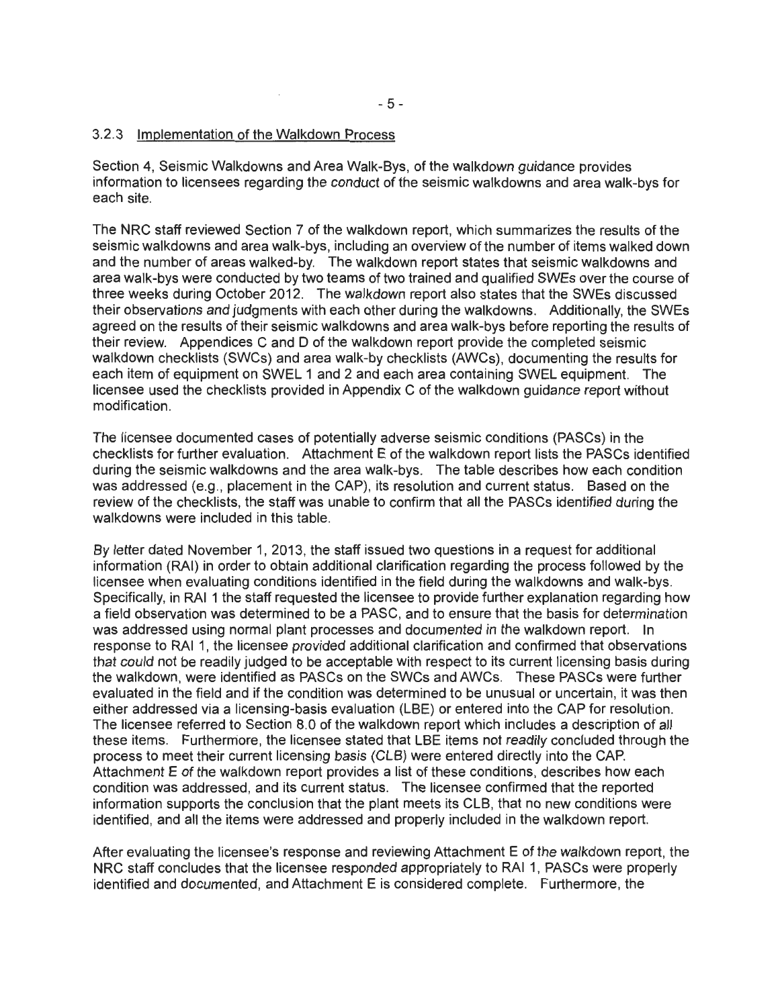Section 4, Seismic Walkdowns and Area Walk-Bys, of the walkdown guidance provides information to licensees regarding the conduct of the seismic walkdowns and area walk-bys for each site.

The NRC staff reviewed Section 7 of the walkdown report, which summarizes the results of the seismic walkdowns and area walk-bys, including an overview of the number of items walked down and the number of areas walked-by. The walkdown report states that seismic walkdowns and area walk-bys were conducted by two teams of two trained and qualified SWEs over the course of three weeks during October 2012. The walkdown report also states that the SWEs discussed their observations and judgments with each other during the walkdowns. Additionally, the SWEs agreed on the results of their seismic walkdowns and area walk-bys before reporting the results of their review. Appendices C and D of the walkdown report provide the completed seismic walkdown checklists (SWCs) and area walk-by checklists (AWCs), documenting the results for each item of equipment on SWEL 1 and 2 and each area containing SWEL equipment. The licensee used the checklists provided in Appendix C of the walkdown guidance report without modification.

The licensee documented cases of potentially adverse seismic conditions (PASCs) in the checklists for further evaluation. Attachment E of the walkdown report lists the PASCs identified during the seismic walkdowns and the area walk-bys. The table describes how each condition was addressed (e.g., placement in the CAP), its resolution and current status. Based on the review of the checklists, the staff was unable to confirm that all the PASCs identified during the walkdowns were included in this table.

By letter dated November 1, 2013, the staff issued two questions in a request for additional information (RAI) in order to obtain additional clarification regarding the process followed by the licensee when evaluating conditions identified in the field during the walkdowns and walk-bys. Specifically, in RAI 1 the staff requested the licensee to provide further explanation regarding how a field observation was determined to be a PASC, and to ensure that the basis for determination was addressed using normal plant processes and documented in the walkdown report. In response to RAI 1, the licensee provided additional clarification and confirmed that observations that could not be readily judged to be acceptable with respect to its current licensing basis during the walkdown, were identified as PASCs on the SWCs and AWCs. These PASCs were further evaluated in the field and if the condition was determined to be unusual or uncertain, it was then either addressed via a licensing-basis evaluation (LBE) or entered into the CAP for resolution. The licensee referred to Section 8.0 of the walkdown report which includes a description of all these items. Furthermore, the licensee stated that LBE items not readily concluded through the process to meet their current licensing basis (CLB) were entered directly into the CAP. Attachment E of the walkdown report provides a list of these conditions, describes how each condition was addressed, and its current status. The licensee confirmed that the reported information supports the conclusion that the plant meets its CLB, that no new conditions were identified, and all the items were addressed and properly included in the walkdown report.

After evaluating the licensee's response and reviewing Attachment E of the walkdown report, the NRC staff concludes that the licensee responded appropriately to RAI 1, PASCs were properly identified and documented, and Attachment E is considered complete. Furthermore, the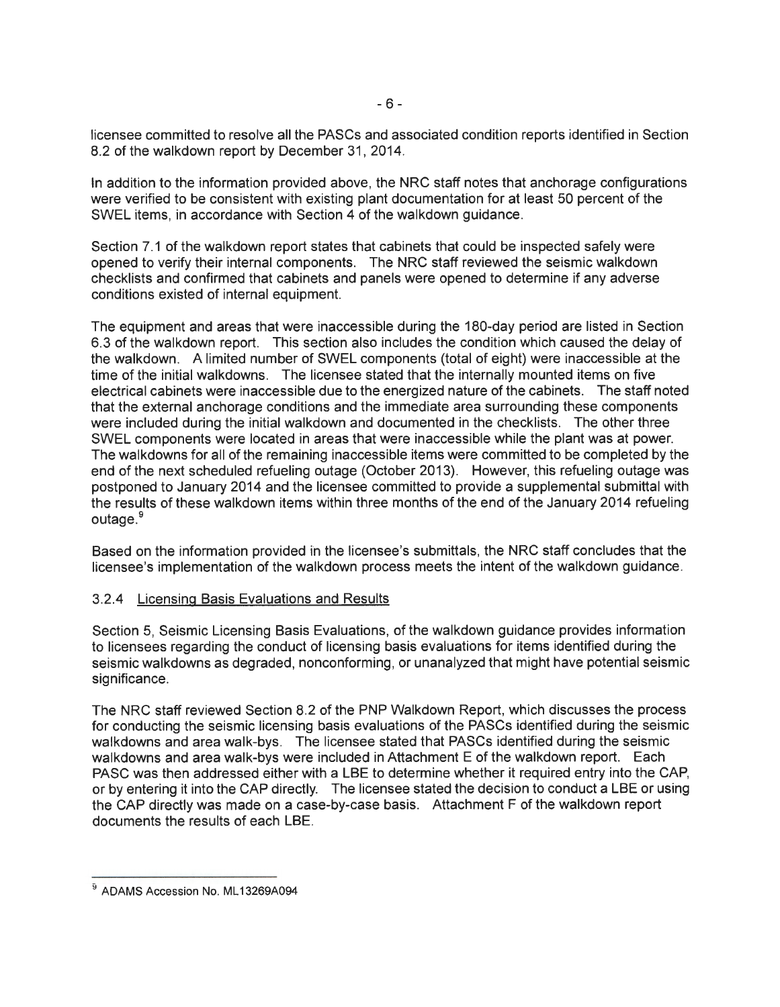licensee committed to resolve all the PASCs and associated condition reports identified in Section 8.2 of the walkdown report by December 31, 2014.

In addition to the information provided above, the NRC staff notes that anchorage configurations were verified to be consistent with existing plant documentation for at least 50 percent of the SWEL items, in accordance with Section 4 of the walkdown guidance.

Section 7.1 of the walkdown report states that cabinets that could be inspected safely were opened to verify their internal components. The NRC staff reviewed the seismic walkdown checklists and confirmed that cabinets and panels were opened to determine if any adverse conditions existed of internal equipment.

The equipment and areas that were inaccessible during the 180-day period are listed in Section 6.3 of the walkdown report. This section also includes the condition which caused the delay of the walkdown. A limited number of SWEL components (total of eight) were inaccessible at the time of the initial walkdowns. The licensee stated that the internally mounted items on five electrical cabinets were inaccessible due to the energized nature of the cabinets. The staff noted that the external anchorage conditions and the immediate area surrounding these components were included during the initial walkdown and documented in the checklists. The other three SWEL components were located in areas that were inaccessible while the plant was at power. The walkdowns for all of the remaining inaccessible items were committed to be completed by the end of the next scheduled refueling outage (October 2013). However, this refueling outage was postponed to January 2014 and the licensee committed to provide a supplemental submittal with the results of these walkdown items within three months of the end of the January 2014 refueling outage.<sup>9</sup>

Based on the information provided in the licensee's submittals, the NRC staff concludes that the licensee's implementation of the walkdown process meets the intent of the walkdown guidance.

## 3.2.4 Licensing Basis Evaluations and Results

Section 5, Seismic Licensing Basis Evaluations, of the walkdown guidance provides information to licensees regarding the conduct of licensing basis evaluations for items identified during the seismic walkdowns as degraded, nonconforming, or unanalyzed that might have potential seismic significance.

The NRC staff reviewed Section 8.2 of the PNP Walkdown Report, which discusses the process for conducting the seismic licensing basis evaluations of the PASCs identified during the seismic walkdowns and area walk-bys. The licensee stated that PASCs identified during the seismic walkdowns and area walk-bys were included in Attachment E of the walkdown report. Each PASC was then addressed either with a LBE to determine whether it required entry into the CAP, or by entering it into the CAP directly. The licensee stated the decision to conduct a LBE or using the CAP directly was made on a case-by-case basis. Attachment F of the walkdown report documents the results of each LBE.

<sup>&</sup>lt;sup>9</sup> ADAMS Accession No. ML13269A094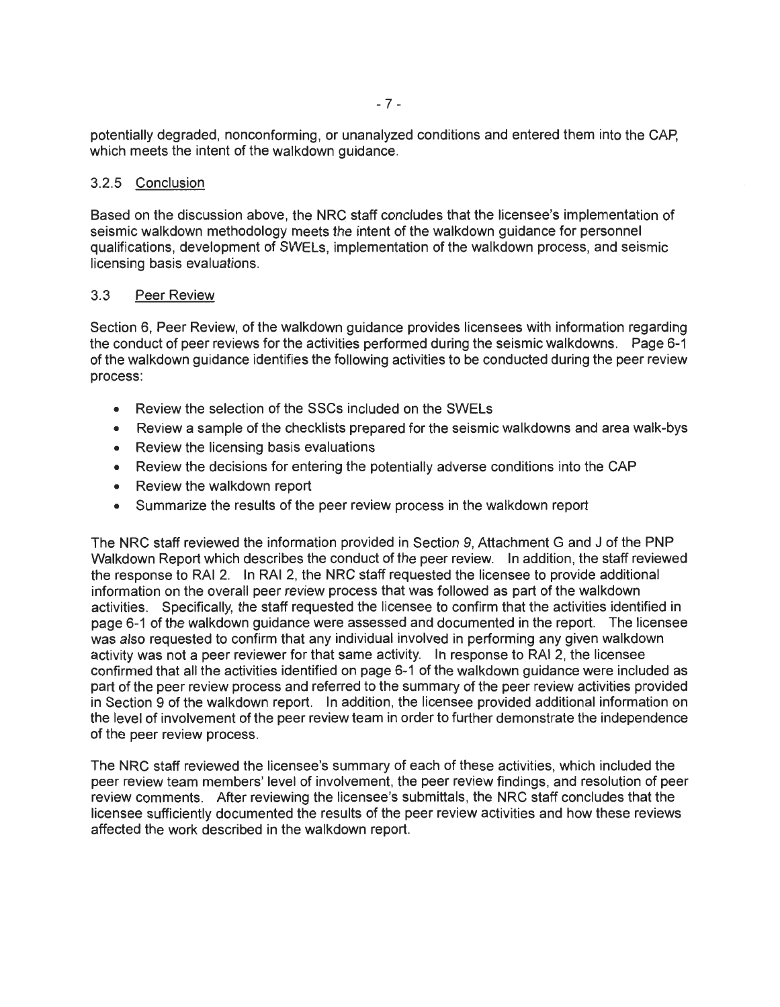potentially degraded, nonconforming, or unanalyzed conditions and entered them into the CAP, which meets the intent of the walkdown guidance.

#### 3.2.5 Conclusion

Based on the discussion above, the NRC staff concludes that the licensee's implementation of seismic walkdown methodology meets the intent of the walkdown guidance for personnel qualifications, development of SWELs, implementation of the walkdown process, and seismic licensing basis evaluations.

#### 3.3 Peer Review

Section 6, Peer Review, of the walkdown guidance provides licensees with information regarding the conduct of peer reviews for the activities performed during the seismic walkdowns. Page 6-1 of the walkdown guidance identifies the following activities to be conducted during the peer review process:

- Review the selection of the SSCs included on the SWELs
- Review a sample of the checklists prepared for the seismic walkdowns and area walk-bys
- Review the licensing basis evaluations
- Review the decisions for entering the potentially adverse conditions into the CAP
- Review the walkdown report
- Summarize the results of the peer review process in the walkdown report

The NRC staff reviewed the information provided in Section 9, Attachment G and J of the PNP Walkdown Report which describes the conduct of the peer review. In addition, the staff reviewed the response to RAI 2. In RAI 2, the NRC staff requested the licensee to provide additional information on the overall peer review process that was followed as part of the walkdown activities. Specifically, the staff requested the licensee to confirm that the activities identified in page 6-1 of the walkdown guidance were assessed and documented in the report. The licensee was also requested to confirm that any individual involved in performing any given walkdown activity was not a peer reviewer for that same activity. In response to RAI 2, the licensee confirmed that all the activities identified on page 6-1 of the walkdown guidance were included as part of the peer review process and referred to the summary of the peer review activities provided in Section 9 of the walkdown report. In addition, the licensee provided additional information on the level of involvement of the peer review team in order to further demonstrate the independence of the peer review process.

The NRC staff reviewed the licensee's summary of each of these activities, which included the peer review team members' level of involvement, the peer review findings, and resolution of peer review comments. After reviewing the licensee's submittals, the NRC staff concludes that the licensee sufficiently documented the results of the peer review activities and how these reviews affected the work described in the walkdown report.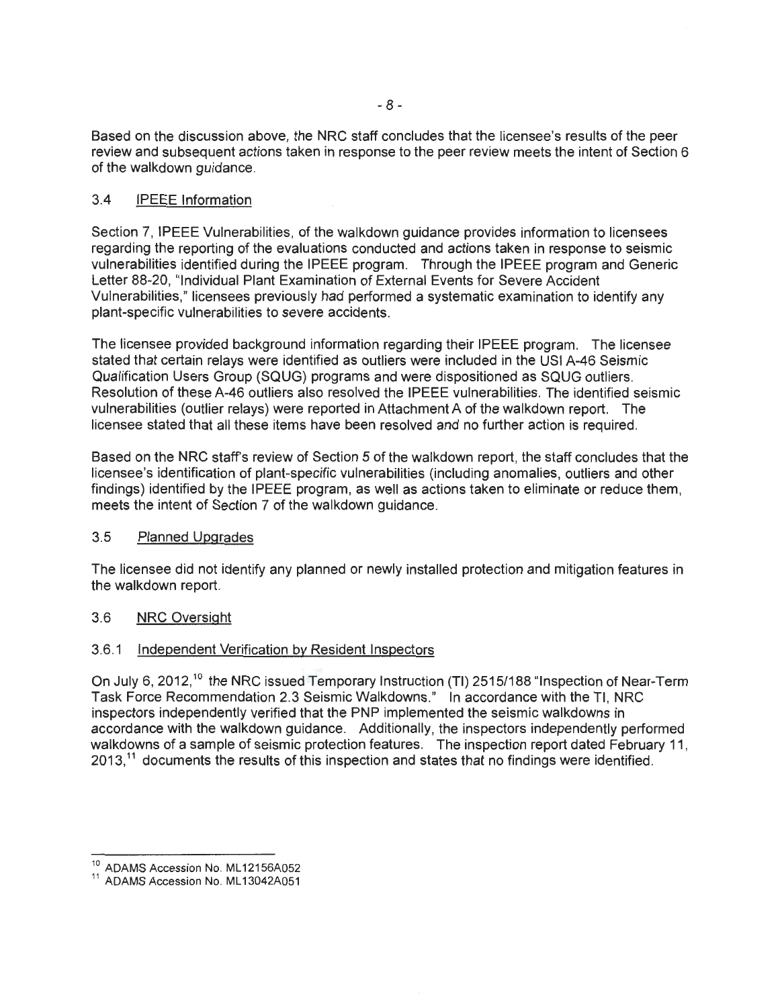Based on the discussion above, the NRC staff concludes that the licensee's results of the peer review and subsequent actions taken in response to the peer review meets the intent of Section 6 of the walkdown guidance.

## 3.4 IPEEE Information

Section 7, IPEEE Vulnerabilities, of the walkdown guidance provides information to licensees regarding the reporting of the evaluations conducted and actions taken in response to seismic vulnerabilities identified during the IPEEE program. Through the IPEEE program and Generic Letter 88-20, "Individual Plant Examination of External Events for Severe Accident Vulnerabilities," licensees previously had performed a systematic examination to identify any plant-specific vulnerabilities to severe accidents.

The licensee provided background information regarding their IPEEE program. The licensee stated that certain relays were identified as outliers were included in the USI A-46 Seismic Qualification Users Group (SQUG) programs and were dispositioned as SQUG outliers. Resolution of these A-46 outliers also resolved the IPEEE vulnerabilities. The identified seismic vulnerabilities (outlier relays) were reported in Attachment A of the walkdown report. The licensee stated that all these items have been resolved and no further action is required.

Based on the NRC staff's review of Section 5 of the walkdown report, the staff concludes that the licensee's identification of plant-specific vulnerabilities (including anomalies, outliers and other findings) identified by the IPEEE program, as well as actions taken to eliminate or reduce them, meets the intent of Section 7 of the walkdown guidance.

## 3.5 Planned Upgrades

The licensee did not identify any planned or newly installed protection and mitigation features in the walkdown report.

## 3.6 NRC Oversight

## 3.6.1 Independent Verification by Resident Inspectors

On July 6, 2012,<sup>10</sup> the NRC issued Temporary Instruction (TI) 2515/188 "Inspection of Near-Term Task Force Recommendation 2.3 Seismic Walkdowns." In accordance with the Tl, NRC inspectors independently verified that the PNP implemented the seismic walkdowns in accordance with the walkdown guidance. Additionally, the inspectors independently performed walkdowns of a sample of seismic protection features. The inspection report dated February 11, 2013,<sup>11</sup> documents the results of this inspection and states that no findings were identified.

<sup>&</sup>lt;sup>10</sup> ADAMS Accession No. ML12156A052<br><sup>11</sup> ADAMS Accession No. ML13042A051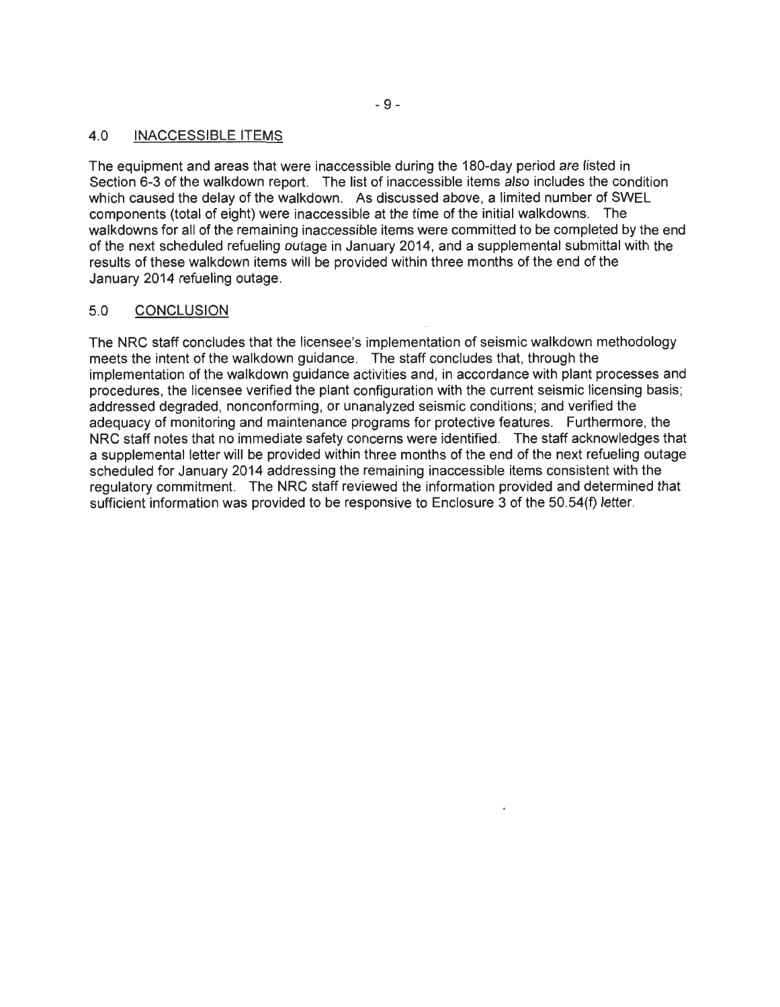#### 4.0 INACCESSIBLE ITEMS

The equipment and areas that were inaccessible during the 180-day period are listed in Section 6-3 of the walkdown report. The list of inaccessible items also includes the condition which caused the delay of the walkdown. As discussed above, a limited number of SWEL components (total of eight) were inaccessible at the time of the initial walkdowns. The walkdowns for all of the remaining inaccessible items were committed to be completed by the end of the next scheduled refueling outage in January 2014, and a supplemental submittal with the results of these walkdown items will be provided within three months of the end of the January 2014 refueling outage.

#### 5.0 CONCLUSION

The NRC staff concludes that the licensee's implementation of seismic walkdown methodology meets the intent of the walkdown guidance. The staff concludes that, through the implementation of the walkdown guidance activities and, in accordance with plant processes and procedures, the licensee verified the plant configuration with the current seismic licensing basis; addressed degraded, nonconforming, or unanalyzed seismic conditions; and verified the adequacy of monitoring and maintenance programs for protective features. Furthermore, the NRC staff notes that no immediate safety concerns were identified. The staff acknowledges that a supplemental letter will be provided within three months of the end of the next refueling outage scheduled for January 2014 addressing the remaining inaccessible items consistent with the regulatory commitment. The NRC staff reviewed the information provided and determined that sufficient information was provided to be responsive to Enclosure 3 of the 50.54(f) letter.